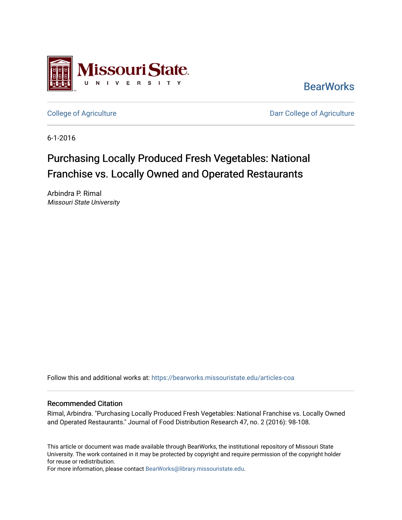

**BearWorks** 

[College of Agriculture](https://bearworks.missouristate.edu/articles-coa) **College of Agriculture** Darr College of Agriculture

6-1-2016

# Purchasing Locally Produced Fresh Vegetables: National Franchise vs. Locally Owned and Operated Restaurants

Arbindra P. Rimal Missouri State University

Follow this and additional works at: [https://bearworks.missouristate.edu/articles-coa](https://bearworks.missouristate.edu/articles-coa?utm_source=bearworks.missouristate.edu%2Farticles-coa%2F401&utm_medium=PDF&utm_campaign=PDFCoverPages) 

#### Recommended Citation

Rimal, Arbindra. "Purchasing Locally Produced Fresh Vegetables: National Franchise vs. Locally Owned and Operated Restaurants." Journal of Food Distribution Research 47, no. 2 (2016): 98-108.

This article or document was made available through BearWorks, the institutional repository of Missouri State University. The work contained in it may be protected by copyright and require permission of the copyright holder for reuse or redistribution.

For more information, please contact [BearWorks@library.missouristate.edu.](mailto:BearWorks@library.missouristate.edu)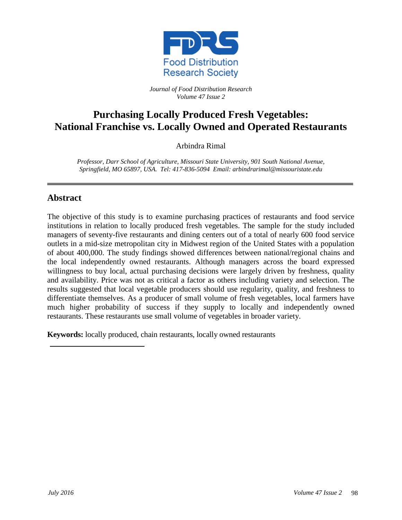

*Journal of Food Distribution Research Volume 47 Issue 2*

## **Purchasing Locally Produced Fresh Vegetables: National Franchise vs. Locally Owned and Operated Restaurants**

Arbindra Rimal

*Professor, Darr School of Agriculture, Missouri State University, 901 South National Avenue, Springfield, MO 65897, USA. Tel: 417-836-5094 Email: arbindrarimal@missouristate.edu*

#### **Abstract**

The objective of this study is to examine purchasing practices of restaurants and food service institutions in relation to locally produced fresh vegetables. The sample for the study included managers of seventy-five restaurants and dining centers out of a total of nearly 600 food service outlets in a mid-size metropolitan city in Midwest region of the United States with a population of about 400,000. The study findings showed differences between national/regional chains and the local independently owned restaurants. Although managers across the board expressed willingness to buy local, actual purchasing decisions were largely driven by freshness, quality and availability. Price was not as critical a factor as others including variety and selection. The results suggested that local vegetable producers should use regularity, quality, and freshness to differentiate themselves. As a producer of small volume of fresh vegetables, local farmers have much higher probability of success if they supply to locally and independently owned restaurants. These restaurants use small volume of vegetables in broader variety.

**Keywords:** locally produced, chain restaurants, locally owned restaurants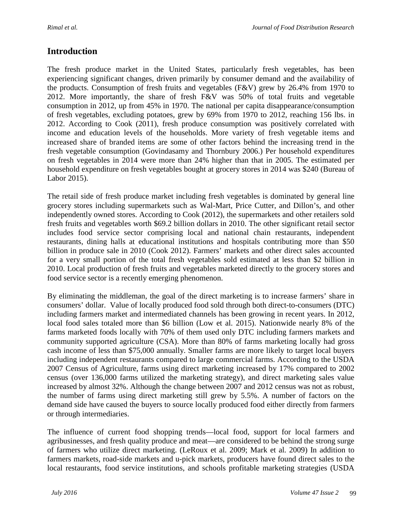#### **Introduction**

The fresh produce market in the United States, particularly fresh vegetables, has been experiencing significant changes, driven primarily by consumer demand and the availability of the products. Consumption of fresh fruits and vegetables (F&V) grew by 26.4% from 1970 to 2012. More importantly, the share of fresh F&V was 50% of total fruits and vegetable consumption in 2012, up from 45% in 1970. The national per capita disappearance/consumption of fresh vegetables, excluding potatoes, grew by 69% from 1970 to 2012, reaching 156 lbs. in 2012. According to Cook (2011), fresh produce consumption was positively correlated with income and education levels of the households. More variety of fresh vegetable items and increased share of branded items are some of other factors behind the increasing trend in the fresh vegetable consumption (Govindasamy and Thornbury 2006.) Per household expenditures on fresh vegetables in 2014 were more than 24% higher than that in 2005. The estimated per household expenditure on fresh vegetables bought at grocery stores in 2014 was \$240 (Bureau of Labor 2015).

The retail side of fresh produce market including fresh vegetables is dominated by general line grocery stores including supermarkets such as Wal-Mart, Price Cutter, and Dillon's, and other independently owned stores. According to Cook (2012), the supermarkets and other retailers sold fresh fruits and vegetables worth \$69.2 billion dollars in 2010. The other significant retail sector includes food service sector comprising local and national chain restaurants, independent restaurants, dining halls at educational institutions and hospitals contributing more than \$50 billion in produce sale in 2010 (Cook 2012). Farmers' markets and other direct sales accounted for a very small portion of the total fresh vegetables sold estimated at less than \$2 billion in 2010. Local production of fresh fruits and vegetables marketed directly to the grocery stores and food service sector is a recently emerging phenomenon.

By eliminating the middleman, the goal of the direct marketing is to increase farmers' share in consumers' dollar. Value of locally produced food sold through both direct-to-consumers (DTC) including farmers market and intermediated channels has been growing in recent years. In 2012, local food sales totaled more than \$6 billion (Low et al. 2015). Nationwide nearly 8% of the farms marketed foods locally with 70% of them used only DTC including farmers markets and community supported agriculture (CSA). More than 80% of farms marketing locally had gross cash income of less than \$75,000 annually. Smaller farms are more likely to target local buyers including independent restaurants compared to large commercial farms. According to the USDA 2007 Census of Agriculture, farms using direct marketing increased by 17% compared to 2002 census (over 136,000 farms utilized the marketing strategy), and direct marketing sales value increased by almost 32%. Although the change between 2007 and 2012 census was not as robust, the number of farms using direct marketing still grew by 5.5%. A number of factors on the demand side have caused the buyers to source locally produced food either directly from farmers or through intermediaries.

The influence of current food shopping trends—local food, support for local farmers and agribusinesses, and fresh quality produce and meat—are considered to be behind the strong surge of farmers who utilize direct marketing. (LeRoux et al. 2009; Mark et al. 2009) In addition to farmers markets, road-side markets and u-pick markets, producers have found direct sales to the local restaurants, food service institutions, and schools profitable marketing strategies (USDA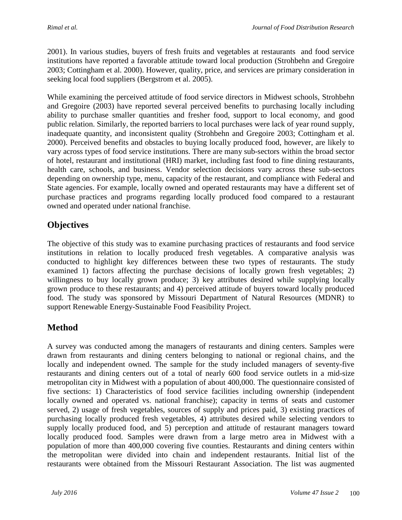2001). In various studies, buyers of fresh fruits and vegetables at restaurants and food service institutions have reported a favorable attitude toward local production (Strohbehn and Gregoire 2003; Cottingham et al. 2000). However, quality, price, and services are primary consideration in seeking local food suppliers (Bergstrom et al. 2005).

While examining the perceived attitude of food service directors in Midwest schools, Strohbehn and Gregoire (2003) have reported several perceived benefits to purchasing locally including ability to purchase smaller quantities and fresher food, support to local economy, and good public relation. Similarly, the reported barriers to local purchases were lack of year round supply, inadequate quantity, and inconsistent quality (Strohbehn and Gregoire 2003; Cottingham et al. 2000). Perceived benefits and obstacles to buying locally produced food, however, are likely to vary across types of food service institutions. There are many sub-sectors within the broad sector of hotel, restaurant and institutional (HRI) market, including fast food to fine dining restaurants, health care, schools, and business. Vendor selection decisions vary across these sub-sectors depending on ownership type, menu, capacity of the restaurant, and compliance with Federal and State agencies. For example, locally owned and operated restaurants may have a different set of purchase practices and programs regarding locally produced food compared to a restaurant owned and operated under national franchise.

### **Objectives**

The objective of this study was to examine purchasing practices of restaurants and food service institutions in relation to locally produced fresh vegetables. A comparative analysis was conducted to highlight key differences between these two types of restaurants. The study examined 1) factors affecting the purchase decisions of locally grown fresh vegetables; 2) willingness to buy locally grown produce; 3) key attributes desired while supplying locally grown produce to these restaurants; and 4) perceived attitude of buyers toward locally produced food. The study was sponsored by Missouri Department of Natural Resources (MDNR) to support Renewable Energy-Sustainable Food Feasibility Project.

#### **Method**

A survey was conducted among the managers of restaurants and dining centers. Samples were drawn from restaurants and dining centers belonging to national or regional chains, and the locally and independent owned. The sample for the study included managers of seventy-five restaurants and dining centers out of a total of nearly 600 food service outlets in a mid-size metropolitan city in Midwest with a population of about 400,000. The questionnaire consisted of five sections: 1) Characteristics of food service facilities including ownership (independent locally owned and operated vs. national franchise); capacity in terms of seats and customer served, 2) usage of fresh vegetables, sources of supply and prices paid, 3) existing practices of purchasing locally produced fresh vegetables, 4) attributes desired while selecting vendors to supply locally produced food, and 5) perception and attitude of restaurant managers toward locally produced food. Samples were drawn from a large metro area in Midwest with a population of more than 400,000 covering five counties. Restaurants and dining centers within the metropolitan were divided into chain and independent restaurants. Initial list of the restaurants were obtained from the Missouri Restaurant Association. The list was augmented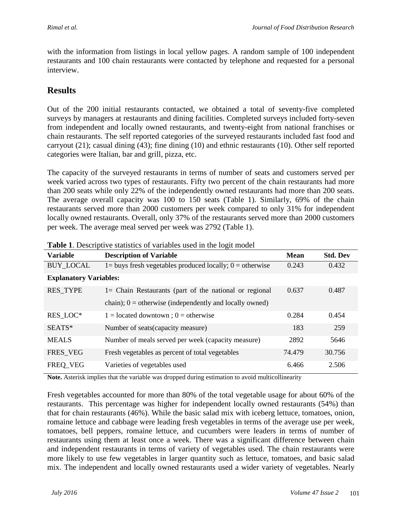with the information from listings in local yellow pages. A random sample of 100 independent restaurants and 100 chain restaurants were contacted by telephone and requested for a personal interview.

#### **Results**

Out of the 200 initial restaurants contacted, we obtained a total of seventy-five completed surveys by managers at restaurants and dining facilities. Completed surveys included forty-seven from independent and locally owned restaurants, and twenty-eight from national franchises or chain restaurants. The self reported categories of the surveyed restaurants included fast food and carryout (21); casual dining (43); fine dining (10) and ethnic restaurants (10). Other self reported categories were Italian, bar and grill, pizza, etc.

The capacity of the surveyed restaurants in terms of number of seats and customers served per week varied across two types of restaurants. Fifty two percent of the chain restaurants had more than 200 seats while only 22% of the independently owned restaurants had more than 200 seats. The average overall capacity was 100 to 150 seats (Table 1). Similarly, 69% of the chain restaurants served more than 2000 customers per week compared to only 31% for independent locally owned restaurants. Overall, only 37% of the restaurants served more than 2000 customers per week. The average meal served per week was 2792 (Table 1).

| <b>Variable</b>               | $\circ$<br><b>Description of Variable</b>                     | Mean   | <b>Std. Dev</b> |
|-------------------------------|---------------------------------------------------------------|--------|-----------------|
| <b>BUY_LOCAL</b>              | $1 =$ buys fresh vegetables produced locally; $0 =$ otherwise | 0.243  | 0.432           |
| <b>Explanatory Variables:</b> |                                                               |        |                 |
| <b>RES_TYPE</b>               | 1= Chain Restaurants (part of the national or regional        | 0.637  | 0.487           |
|                               | chain); $0 =$ otherwise (independently and locally owned)     |        |                 |
| RES LOC*                      | $1 =$ located downtown ; 0 = otherwise                        | 0.284  | 0.454           |
| SEATS*                        | Number of seats (capacity measure)                            | 183    | 259             |
| <b>MEALS</b>                  | Number of meals served per week (capacity measure)            | 2892   | 5646            |
| FRES_VEG                      | Fresh vegetables as percent of total vegetables               | 74.479 | 30.756          |
| FREQ VEG                      | Varieties of vegetables used                                  | 6.466  | 2.506           |

**Table 1.** Descriptive statistics of variables used in the logit model

**Note.** Asterisk implies that the variable was dropped during estimation to avoid multicollinearity

Fresh vegetables accounted for more than 80% of the total vegetable usage for about 60% of the restaurants. This percentage was higher for independent locally owned restaurants (54%) than that for chain restaurants (46%). While the basic salad mix with iceberg lettuce, tomatoes, onion, romaine lettuce and cabbage were leading fresh vegetables in terms of the average use per week, tomatoes, bell peppers, romaine lettuce, and cucumbers were leaders in terms of number of restaurants using them at least once a week. There was a significant difference between chain and independent restaurants in terms of variety of vegetables used. The chain restaurants were more likely to use few vegetables in larger quantity such as lettuce, tomatoes, and basic salad mix. The independent and locally owned restaurants used a wider variety of vegetables. Nearly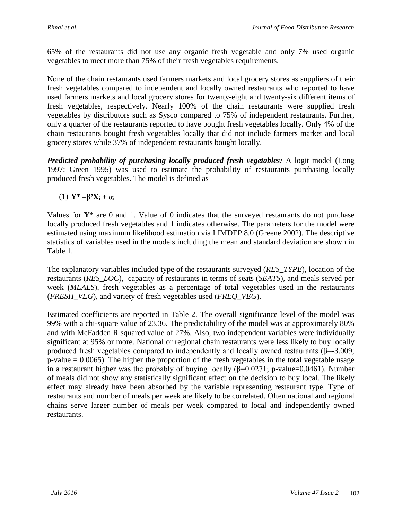65% of the restaurants did not use any organic fresh vegetable and only 7% used organic vegetables to meet more than 75% of their fresh vegetables requirements.

None of the chain restaurants used farmers markets and local grocery stores as suppliers of their fresh vegetables compared to independent and locally owned restaurants who reported to have used farmers markets and local grocery stores for twenty-eight and twenty-six different items of fresh vegetables, respectively. Nearly 100% of the chain restaurants were supplied fresh vegetables by distributors such as Sysco compared to 75% of independent restaurants. Further, only a quarter of the restaurants reported to have bought fresh vegetables locally. Only 4% of the chain restaurants bought fresh vegetables locally that did not include farmers market and local grocery stores while 37% of independent restaurants bought locally.

*Predicted probability of purchasing locally produced fresh vegetables:* A logit model (Long 1997; Green 1995) was used to estimate the probability of restaurants purchasing locally produced fresh vegetables. The model is defined as

(1) **Y**\*i=**β'X<sup>i</sup>** + **α<sup>i</sup>**

Values for **Y**\* are 0 and 1. Value of 0 indicates that the surveyed restaurants do not purchase locally produced fresh vegetables and 1 indicates otherwise. The parameters for the model were estimated using maximum likelihood estimation via LIMDEP 8.0 (Greene 2002). The descriptive statistics of variables used in the models including the mean and standard deviation are shown in Table 1.

The explanatory variables included type of the restaurants surveyed (*RES\_TYPE*), location of the restaurants (*RES\_LOC*), capacity of restaurants in terms of seats (*SEATS*), and meals served per week (*MEALS*), fresh vegetables as a percentage of total vegetables used in the restaurants (*FRESH\_VEG*), and variety of fresh vegetables used (*FREQ\_VEG*).

Estimated coefficients are reported in Table 2. The overall significance level of the model was 99% with a chi-square value of 23.36. The predictability of the model was at approximately 80% and with McFadden R squared value of 27%. Also, two independent variables were individually significant at 95% or more. National or regional chain restaurants were less likely to buy locally produced fresh vegetables compared to independently and locally owned restaurants ( $\beta$ =-3.009;  $p$ -value = 0.0065). The higher the proportion of the fresh vegetables in the total vegetable usage in a restaurant higher was the probably of buying locally  $(\beta=0.0271; p-value=0.0461)$ . Number of meals did not show any statistically significant effect on the decision to buy local. The likely effect may already have been absorbed by the variable representing restaurant type. Type of restaurants and number of meals per week are likely to be correlated. Often national and regional chains serve larger number of meals per week compared to local and independently owned restaurants.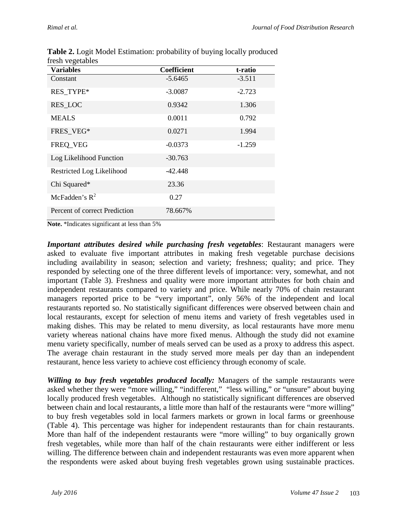| <b>Variables</b>              | <b>Coefficient</b> | t-ratio  |
|-------------------------------|--------------------|----------|
| Constant                      | $-5.6465$          | $-3.511$ |
| RES_TYPE*                     | $-3.0087$          | $-2.723$ |
| <b>RES_LOC</b>                | 0.9342             | 1.306    |
| <b>MEALS</b>                  | 0.0011             | 0.792    |
| FRES_VEG*                     | 0.0271             | 1.994    |
| FREQ_VEG                      | $-0.0373$          | $-1.259$ |
| Log Likelihood Function       | $-30.763$          |          |
| Restricted Log Likelihood     | $-42.448$          |          |
| Chi Squared*                  | 23.36              |          |
| McFadden's $R^2$              | 0.27               |          |
| Percent of correct Prediction | 78.667%            |          |

**Table 2.** Logit Model Estimation: probability of buying locally produced fresh vegetables

**Note.** \*Indicates significant at less than 5%

*Important attributes desired while purchasing fresh vegetables*: Restaurant managers were asked to evaluate five important attributes in making fresh vegetable purchase decisions including availability in season; selection and variety; freshness; quality; and price. They responded by selecting one of the three different levels of importance: very, somewhat, and not important (Table 3). Freshness and quality were more important attributes for both chain and independent restaurants compared to variety and price. While nearly 70% of chain restaurant managers reported price to be "very important", only 56% of the independent and local restaurants reported so. No statistically significant differences were observed between chain and local restaurants, except for selection of menu items and variety of fresh vegetables used in making dishes. This may be related to menu diversity, as local restaurants have more menu variety whereas national chains have more fixed menus. Although the study did not examine menu variety specifically, number of meals served can be used as a proxy to address this aspect. The average chain restaurant in the study served more meals per day than an independent restaurant, hence less variety to achieve cost efficiency through economy of scale.

*Willing to buy fresh vegetables produced locally:* Managers of the sample restaurants were asked whether they were "more willing," "indifferent," "less willing," or "unsure" about buying locally produced fresh vegetables. Although no statistically significant differences are observed between chain and local restaurants, a little more than half of the restaurants were "more willing" to buy fresh vegetables sold in local farmers markets or grown in local farms or greenhouse (Table 4). This percentage was higher for independent restaurants than for chain restaurants. More than half of the independent restaurants were "more willing" to buy organically grown fresh vegetables, while more than half of the chain restaurants were either indifferent or less willing. The difference between chain and independent restaurants was even more apparent when the respondents were asked about buying fresh vegetables grown using sustainable practices.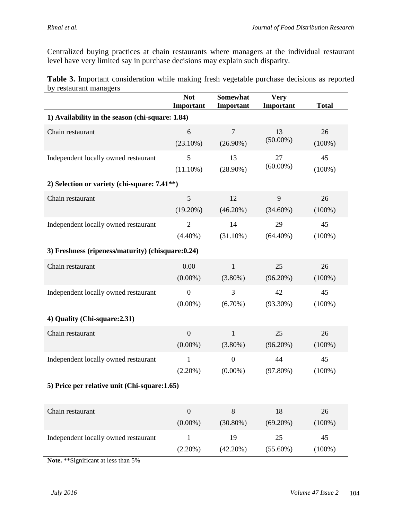Centralized buying practices at chain restaurants where managers at the individual restaurant level have very limited say in purchase decisions may explain such disparity.

**Table 3.** Important consideration while making fresh vegetable purchase decisions as reported by restaurant managers

|                                                           | <b>Not</b><br>Important | <b>Somewhat</b><br>Important | <b>Very</b><br>Important | <b>Total</b> |  |  |  |
|-----------------------------------------------------------|-------------------------|------------------------------|--------------------------|--------------|--|--|--|
| 1) Availability in the season (chi-square: 1.84)          |                         |                              |                          |              |  |  |  |
| Chain restaurant                                          | 6                       | $\boldsymbol{7}$             | 13                       | 26           |  |  |  |
|                                                           | $(23.10\%)$             | $(26.90\%)$                  | $(50.00\%)$              | $(100\%)$    |  |  |  |
| Independent locally owned restaurant                      | 5                       | 13                           | 27                       | 45           |  |  |  |
|                                                           | $(11.10\%)$             | $(28.90\%)$                  | $(60.00\%)$              | $(100\%)$    |  |  |  |
| 2) Selection or variety (chi-square: 7.41 <sup>**</sup> ) |                         |                              |                          |              |  |  |  |
| Chain restaurant                                          | 5                       | 12                           | 9                        | 26           |  |  |  |
|                                                           | $(19.20\%)$             | $(46.20\%)$                  | $(34.60\%)$              | $(100\%)$    |  |  |  |
| Independent locally owned restaurant                      | $\overline{2}$          | 14                           | 29                       | 45           |  |  |  |
|                                                           | $(4.40\%)$              | $(31.10\%)$                  | $(64.40\%)$              | $(100\%)$    |  |  |  |
| 3) Freshness (ripeness/maturity) (chisquare: 0.24)        |                         |                              |                          |              |  |  |  |
| Chain restaurant                                          | 0.00                    | $\mathbf{1}$                 | 25                       | 26           |  |  |  |
|                                                           | $(0.00\%)$              | $(3.80\%)$                   | (96.20%)                 | $(100\%)$    |  |  |  |
| Independent locally owned restaurant                      | $\overline{0}$          | 3                            | 42                       | 45           |  |  |  |
|                                                           | $(0.00\%)$              | $(6.70\%)$                   | $(93.30\%)$              | $(100\%)$    |  |  |  |
| 4) Quality (Chi-square: 2.31)                             |                         |                              |                          |              |  |  |  |
| Chain restaurant                                          | $\overline{0}$          | $\mathbf{1}$                 | 25                       | 26           |  |  |  |
|                                                           | $(0.00\%)$              | $(3.80\%)$                   | $(96.20\%)$              | $(100\%)$    |  |  |  |
| Independent locally owned restaurant                      | $\mathbf{1}$            | $\boldsymbol{0}$             | 44                       | 45           |  |  |  |
|                                                           | $(2.20\%)$              | $(0.00\%)$                   | $(97.80\%)$              | $(100\%)$    |  |  |  |
| 5) Price per relative unit (Chi-square: 1.65)             |                         |                              |                          |              |  |  |  |
| Chain restaurant                                          | $\overline{0}$          | 8                            | 18                       | 26           |  |  |  |
|                                                           | $(0.00\%)$              | $(30.80\%)$                  | $(69.20\%)$              | $(100\%)$    |  |  |  |
| Independent locally owned restaurant                      | $\mathbf{1}$            | 19                           | 25                       | 45           |  |  |  |
|                                                           | $(2.20\%)$              | $(42.20\%)$                  | $(55.60\%)$              | $(100\%)$    |  |  |  |

**Note.** \*\*Significant at less than 5%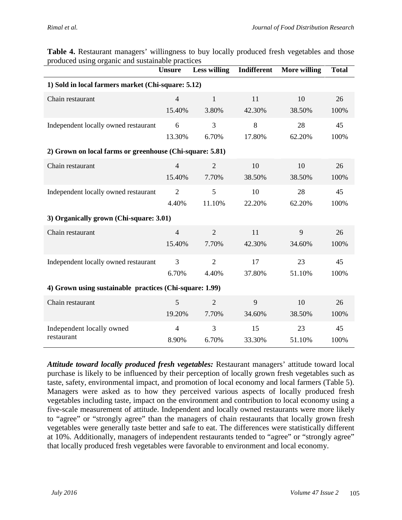| TOUUCU USING<br>organic and sustantable praetices        | <b>Unsure</b>  | <b>Less willing</b> | Indifferent | <b>More willing</b> | <b>Total</b> |  |  |
|----------------------------------------------------------|----------------|---------------------|-------------|---------------------|--------------|--|--|
| 1) Sold in local farmers market (Chi-square: 5.12)       |                |                     |             |                     |              |  |  |
| Chain restaurant                                         | $\overline{4}$ | $\mathbf{1}$        | 11          | 10                  | 26           |  |  |
|                                                          | 15.40%         | 3.80%               | 42.30%      | 38.50%              | 100%         |  |  |
| Independent locally owned restaurant                     | 6              | 3                   | 8           | 28                  | 45           |  |  |
|                                                          | 13.30%         | 6.70%               | 17.80%      | 62.20%              | 100%         |  |  |
| 2) Grown on local farms or greenhouse (Chi-square: 5.81) |                |                     |             |                     |              |  |  |
| Chain restaurant                                         | $\overline{4}$ | $\overline{2}$      | 10          | 10                  | 26           |  |  |
|                                                          | 15.40%         | 7.70%               | 38.50%      | 38.50%              | 100%         |  |  |
| Independent locally owned restaurant                     | $\overline{2}$ | 5                   | 10          | 28                  | 45           |  |  |
|                                                          | 4.40%          | 11.10%              | 22.20%      | 62.20%              | 100%         |  |  |
| 3) Organically grown (Chi-square: 3.01)                  |                |                     |             |                     |              |  |  |
| Chain restaurant                                         | $\overline{4}$ | $\overline{2}$      | 11          | 9                   | 26           |  |  |
|                                                          | 15.40%         | 7.70%               | 42.30%      | 34.60%              | 100%         |  |  |
| Independent locally owned restaurant                     | 3              | $\overline{2}$      | 17          | 23                  | 45           |  |  |
|                                                          | 6.70%          | 4.40%               | 37.80%      | 51.10%              | 100%         |  |  |
| 4) Grown using sustainable practices (Chi-square: 1.99)  |                |                     |             |                     |              |  |  |
| Chain restaurant                                         | 5              | $\overline{2}$      | 9           | 10                  | 26           |  |  |
|                                                          | 19.20%         | 7.70%               | 34.60%      | 38.50%              | 100%         |  |  |
| Independent locally owned                                | $\overline{4}$ | 3                   | 15          | 23                  | 45           |  |  |
| restaurant                                               | 8.90%          | 6.70%               | 33.30%      | 51.10%              | 100%         |  |  |

**Table 4.** Restaurant managers' willingness to buy locally produced fresh vegetables and those produced using organic and sustainable practices

*Attitude toward locally produced fresh vegetables:* Restaurant managers' attitude toward local purchase is likely to be influenced by their perception of locally grown fresh vegetables such as taste, safety, environmental impact, and promotion of local economy and local farmers (Table 5). Managers were asked as to how they perceived various aspects of locally produced fresh vegetables including taste, impact on the environment and contribution to local economy using a five-scale measurement of attitude. Independent and locally owned restaurants were more likely to "agree" or "strongly agree" than the managers of chain restaurants that locally grown fresh vegetables were generally taste better and safe to eat. The differences were statistically different at 10%. Additionally, managers of independent restaurants tended to "agree" or "strongly agree" that locally produced fresh vegetables were favorable to environment and local economy.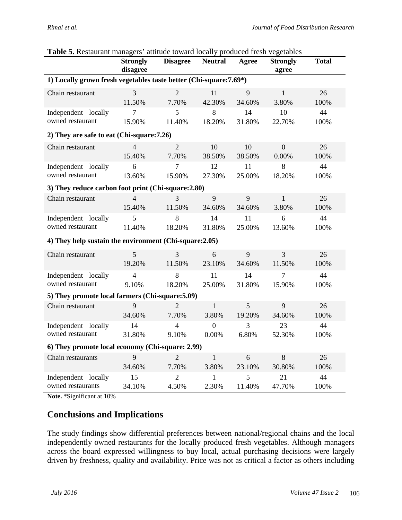|                                                                    | <b>Strongly</b><br>disagree | <b>Disagree</b> | <b>Neutral</b>   | Agree  | <b>Strongly</b><br>agree | <b>Total</b> |  |
|--------------------------------------------------------------------|-----------------------------|-----------------|------------------|--------|--------------------------|--------------|--|
| 1) Locally grown fresh vegetables taste better (Chi-square: 7.69*) |                             |                 |                  |        |                          |              |  |
| Chain restaurant                                                   | 3                           | $\overline{2}$  | 11               | 9      | $\mathbf{1}$             | 26           |  |
|                                                                    | 11.50%                      | 7.70%           | 42.30%           | 34.60% | 3.80%                    | 100%         |  |
| Independent locally                                                | $\overline{7}$              | 5               | 8                | 14     | 10                       | 44           |  |
| owned restaurant                                                   | 15.90%                      | 11.40%          | 18.20%           | 31.80% | 22.70%                   | 100%         |  |
| 2) They are safe to eat (Chi-square: 7.26)                         |                             |                 |                  |        |                          |              |  |
| Chain restaurant                                                   | $\overline{4}$              | $\overline{2}$  | 10               | 10     | $\boldsymbol{0}$         | 26           |  |
|                                                                    | 15.40%                      | 7.70%           | 38.50%           | 38.50% | 0.00%                    | 100%         |  |
| Independent locally                                                | 6                           | $\overline{7}$  | 12               | 11     | 8                        | 44           |  |
| owned restaurant                                                   | 13.60%                      | 15.90%          | 27.30%           | 25.00% | 18.20%                   | 100%         |  |
| 3) They reduce carbon foot print (Chi-square: 2.80)                |                             |                 |                  |        |                          |              |  |
| Chain restaurant                                                   | $\overline{4}$              | 3               | 9                | 9      | $\mathbf{1}$             | 26           |  |
|                                                                    | 15.40%                      | 11.50%          | 34.60%           | 34.60% | 3.80%                    | 100%         |  |
| Independent locally                                                | 5                           | 8               | 14               | 11     | 6                        | 44           |  |
| owned restaurant                                                   | 11.40%                      | 18.20%          | 31.80%           | 25.00% | 13.60%                   | 100%         |  |
| 4) They help sustain the environment (Chi-square: 2.05)            |                             |                 |                  |        |                          |              |  |
| Chain restaurant                                                   | 5                           | 3               | 6                | 9      | 3                        | 26           |  |
|                                                                    | 19.20%                      | 11.50%          | 23.10%           | 34.60% | 11.50%                   | 100%         |  |
| Independent locally                                                | $\overline{4}$              | 8               | 11               | 14     | $\overline{7}$           | 44           |  |
| owned restaurant                                                   | 9.10%                       | 18.20%          | 25.00%           | 31.80% | 15.90%                   | 100%         |  |
| 5) They promote local farmers (Chi-square: 5.09)                   |                             |                 |                  |        |                          |              |  |
| Chain restaurant                                                   | 9                           | $\overline{2}$  | $\mathbf{1}$     | 5      | 9                        | 26           |  |
|                                                                    | 34.60%                      | 7.70%           | 3.80%            | 19.20% | 34.60%                   | 100%         |  |
| Independent locally                                                | 14                          | 4               | $\boldsymbol{0}$ | 3      | 23                       | 44           |  |
| owned restaurant                                                   | 31.80%                      | 9.10%           | 0.00%            | 6.80%  | 52.30%                   | 100%         |  |
| 6) They promote local economy (Chi-square: 2.99)                   |                             |                 |                  |        |                          |              |  |
| Chain restaurants                                                  | 9                           | $\overline{2}$  | $\mathbf{1}$     | 6      | 8                        | 26           |  |
|                                                                    | 34.60%                      | 7.70%           | 3.80%            | 23.10% | 30.80%                   | 100%         |  |
| Independent locally                                                | 15                          | $\overline{2}$  | 1                | 5      | 21                       | 44           |  |
| owned restaurants                                                  | 34.10%                      | 4.50%           | 2.30%            | 11.40% | 47.70%                   | 100%         |  |

#### **Table 5.** Restaurant managers' attitude toward locally produced fresh vegetables

**Note.** \*Significant at 10%

#### **Conclusions and Implications**

The study findings show differential preferences between national/regional chains and the local independently owned restaurants for the locally produced fresh vegetables. Although managers across the board expressed willingness to buy local, actual purchasing decisions were largely driven by freshness, quality and availability. Price was not as critical a factor as others including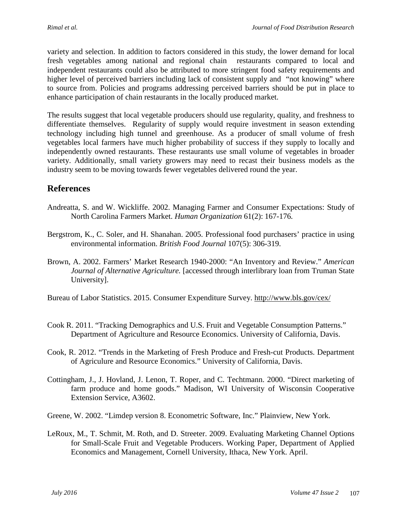variety and selection. In addition to factors considered in this study, the lower demand for local fresh vegetables among national and regional chain restaurants compared to local and independent restaurants could also be attributed to more stringent food safety requirements and higher level of perceived barriers including lack of consistent supply and "not knowing" where to source from. Policies and programs addressing perceived barriers should be put in place to enhance participation of chain restaurants in the locally produced market.

The results suggest that local vegetable producers should use regularity, quality, and freshness to differentiate themselves. Regularity of supply would require investment in season extending technology including high tunnel and greenhouse. As a producer of small volume of fresh vegetables local farmers have much higher probability of success if they supply to locally and independently owned restaurants. These restaurants use small volume of vegetables in broader variety. Additionally, small variety growers may need to recast their business models as the industry seem to be moving towards fewer vegetables delivered round the year.

#### **References**

- Andreatta, S. and W. Wickliffe. 2002. Managing Farmer and Consumer Expectations: Study of North Carolina Farmers Market. *Human Organization* 61(2): 167-176*.*
- Bergstrom, K., C. Soler, and H. Shanahan. 2005. Professional food purchasers' practice in using environmental information. *British Food Journal* 107(5): 306-319.
- Brown, A. 2002. Farmers' Market Research 1940-2000: "An Inventory and Review." *American Journal of Alternative Agriculture.* [accessed through interlibrary loan from Truman State University].
- Bureau of Labor Statistics. 2015. Consumer Expenditure Survey.<http://www.bls.gov/cex/>
- Cook R. 2011. "Tracking Demographics and U.S. Fruit and Vegetable Consumption Patterns." Department of Agriculture and Resource Economics. University of California, Davis.
- Cook, R. 2012. "Trends in the Marketing of Fresh Produce and Fresh-cut Products. Department of Agriculure and Resource Economics." University of California, Davis.
- Cottingham, J., J. Hovland, J. Lenon, T. Roper, and C. Techtmann. 2000. "Direct marketing of farm produce and home goods." Madison, WI University of Wisconsin Cooperative Extension Service, A3602.
- Greene, W. 2002. "Limdep version 8. Econometric Software, Inc." Plainview, New York.
- LeRoux, M., T. Schmit, M. Roth, and D. Streeter. 2009. Evaluating Marketing Channel Options for Small-Scale Fruit and Vegetable Producers. Working Paper, Department of Applied Economics and Management, Cornell University, Ithaca, New York. April.